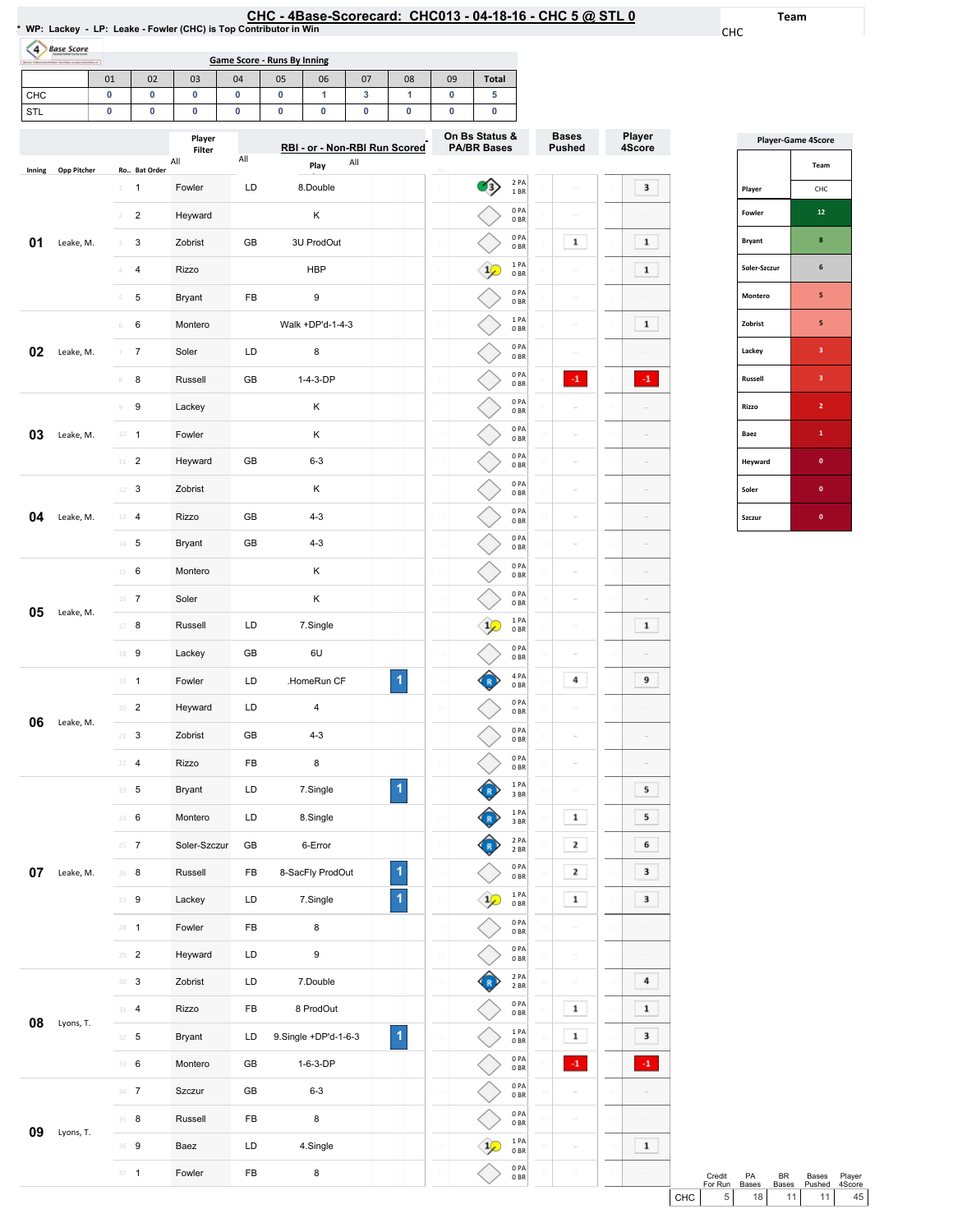| HC - 4Base-Scorecard: CHC013 - 04-18-16 - CHC 5 @ STL ( |  |  |  |  |  |  |
|---------------------------------------------------------|--|--|--|--|--|--|
|---------------------------------------------------------|--|--|--|--|--|--|

0PA 0BR 0PA 0BR 1PA 0BR 0PA 0BR

 $\diamondsuit$ 

Team

CHC

Player 4Score

 $\overline{\phantom{a}}$ 

 $\begin{array}{|c|c|} \hline \textbf{1} & \\\hline \end{array}$  $\begin{array}{|c|} \hline \textbf{1} \end{array}$  $\sim$  $\begin{array}{|c|} \hline \textbf{1} \end{array}$ 

 $\langle {\bf 4}\rangle$ 

 $\sim$ 

 $\sim$  $\blacksquare$  <br> 1

 $\overline{9}$  $\sim$ 

 $\sim$  $\overline{\phantom{a}}$  $\overline{\phantom{a}}$  $6<sup>-1</sup>$  $\overline{\phantom{a}}$  $\overline{\phantom{a}}$  $\sim$ 

 $\overline{4}$  $\begin{array}{|c|} \hline \textbf{1} \end{array}$  $\overline{\phantom{a}}$  $\left\vert 4\right\rangle$ 

 $\blacksquare$ 

| $\overline{a}$ | <b>Base Score</b>  |                                          |                  |           |                                          |                               |     |                         |                             |                                      |              |         |                               |    |                  |
|----------------|--------------------|------------------------------------------|------------------|-----------|------------------------------------------|-------------------------------|-----|-------------------------|-----------------------------|--------------------------------------|--------------|---------|-------------------------------|----|------------------|
|                |                    | 01                                       | 02<br>03         | 04        | <b>Game Score - Runs By Inning</b><br>05 | 06                            | 07  | 08                      | 09                          | <b>Total</b>                         |              |         |                               |    |                  |
| CHC            |                    | 0                                        | 0<br>0           | $\pmb{0}$ | 0                                        | 1                             | 3   | 1                       | 0                           | 5                                    |              |         |                               |    |                  |
| STL            |                    | 0                                        | 0<br>0           | 0         | 0                                        | 0                             | 0   | 0                       | 0                           | 0                                    |              |         |                               |    |                  |
|                |                    |                                          | Player<br>Filter |           |                                          | RBI - or - Non-RBI Run Scored |     |                         |                             | On Bs Status &<br><b>PA/BR Bases</b> |              |         | <b>Bases</b><br><b>Pushed</b> |    | Player<br>4Score |
| Inning         | <b>Opp Pitcher</b> | Ro Bat Order                             | All              | All       |                                          | Play                          | All |                         |                             |                                      |              |         |                               |    |                  |
|                |                    | 1<br>1.                                  | Fowler           | LD        |                                          | 8.Double                      |     |                         |                             | $\mathcal{I}_3$                      | 2 PA<br>1BR  |         |                               |    | 3                |
|                |                    | $\overline{\mathbf{c}}$<br>$\mathcal{I}$ | Heyward          |           |                                          | Κ                             |     |                         |                             |                                      | 0PA<br>0BR   |         |                               |    |                  |
| 01             | Leake, M.          | 3<br>3                                   | Zobrist          | GB        |                                          | 3U ProdOut                    |     |                         |                             |                                      | 0PA<br>0BR   |         | 1                             |    | $\mathbf 1$      |
|                |                    | 4                                        | Rizzo            |           |                                          | <b>HBP</b>                    |     |                         | $\Delta$                    |                                      | 1 PA<br>0BR  |         |                               |    | 1                |
|                |                    | 5<br>5                                   | Bryant           | FB        |                                          | 9                             |     |                         |                             |                                      | 0PA<br>0BR   |         | ö                             |    |                  |
|                |                    | 6<br>6                                   | Montero          |           |                                          | Walk +DP'd-1-4-3              |     |                         | 6                           |                                      | 1PA<br>0BR   |         | G                             |    | $\mathbf 1$      |
| 02             | Leake, M.          | 7<br>7                                   | Soler            | LD        |                                          | 8                             |     |                         |                             |                                      | 0PA<br>0BR   |         |                               |    |                  |
|                |                    | 8                                        | Russell          | GB        |                                          | 1-4-3-DP                      |     |                         | 8                           |                                      | 0 PA<br>0BR  |         | $\cdot$ 1                     |    | $\cdot$ 1        |
|                |                    | 9<br>Q                                   | Lackey           |           |                                          | Κ                             |     |                         | $\circ$                     |                                      | 0PA<br>0BR   |         |                               |    |                  |
| 03             | Leake, M.          | $10\,$<br>$\overline{1}$                 | Fowler           |           |                                          | Κ                             |     |                         | $10$                        |                                      | 0PA<br>0BR   |         |                               |    |                  |
|                |                    | $\overline{2}$<br>$11 -$                 | Heyward          | GB        |                                          | $6 - 3$                       |     |                         | $\frac{1}{2}$               |                                      | 0PA<br>0BR   |         |                               |    |                  |
|                |                    | 3<br>12                                  | Zobrist          |           |                                          | Κ                             |     |                         | 12                          |                                      | 0PA<br>0BR   |         |                               |    |                  |
| 04             | Leake, M.          | 13<br>4                                  | <b>Rizzo</b>     | GB        |                                          | $4 - 3$                       |     |                         | $13$                        |                                      | 0PA<br>0BR   |         |                               |    |                  |
|                |                    | $14 - 5$                                 | Bryant           | GB        |                                          | $4 - 3$                       |     |                         | 14                          |                                      | 0 PA<br>0BR  |         |                               |    |                  |
|                |                    | 6<br>15                                  | Montero          |           |                                          | Κ                             |     |                         | 15                          |                                      | 0PA<br>0BR   |         |                               |    |                  |
|                |                    | $16$ 7                                   | Soler            |           |                                          | Κ                             |     |                         | 16                          |                                      | 0PA<br>0BR   |         |                               |    |                  |
| 05             | Leake, M.          | 17<br>8                                  | Russell          | LD        |                                          | 7.Single                      |     |                         | 17                          |                                      | 1PA<br>0BR   |         |                               |    | 1                |
|                |                    | 18 9                                     | Lackey           | GB        |                                          | 6U                            |     |                         | 18                          |                                      | 0PA<br>0BR   |         |                               |    |                  |
|                |                    | $19 - 1$                                 | Fowler           | LD        |                                          | .HomeRun CF                   |     | 1                       |                             |                                      | 4 PA<br>0 BR |         | 4                             |    | 9                |
|                |                    | $20 - 2$                                 | Heyward          | LD        |                                          | 4                             |     |                         | 20                          |                                      | 0PA<br>0BR   |         |                               |    |                  |
| 06             | Leake, M.          | $\mathbf{3}$<br>21                       | Zobrist          | GB        |                                          | $4 - 3$                       |     |                         | 21                          |                                      | 0PA<br>0BR   | $_{21}$ | ÷                             | 21 |                  |
|                |                    | 22<br>$\overline{4}$                     | Rizzo            | FB        |                                          | 8                             |     |                         | $^{22}$                     |                                      | 0PA<br>0BR   | $^{22}$ | ö                             |    |                  |
|                |                    | $23 \t 5$                                | <b>Bryant</b>    | LD        |                                          | 7.Single                      |     | $\blacktriangleleft$    | $\overline{2}$              |                                      | 1PA<br>3 BR  | 23      | $\bar{m}$                     |    | 5                |
|                |                    | 6<br>$24 -$                              | Montero          | LD        |                                          | 8.Single                      |     |                         | $\overline{2}$ <sup>4</sup> |                                      | 1 PA<br>3 BR |         | 1                             |    | 5                |
|                |                    | $25 \t 7$                                | Soler-Szczur     | GB        |                                          | 6-Error                       |     |                         | 25                          |                                      | 2 PA<br>2 BR |         | $\mathbf{2}$                  |    | 6                |
| 07             | Leake, M.          | 26<br>8                                  | Russell          | FB        |                                          | 8-SacFly ProdOut              |     | 1                       | 26                          |                                      | 0PA<br>0B    |         | $\mathbf 2$                   |    | 3                |
|                |                    | $\boldsymbol{9}$<br>27                   | Lackey           | LD        |                                          | 7.Single                      |     | $\overline{\mathbf{1}}$ | 27                          | $\frac{1}{2}$                        | 1 PA<br>0B   |         | ${\bf 1}$                     |    | з                |
|                |                    | $28 - 1$                                 | Fowler           | FB        |                                          | 8                             |     |                         | 28                          |                                      | 0PA<br>0B    | 28      | ö                             |    |                  |
|                |                    | $29 - 2$                                 | Heyward          | LD        |                                          | 9                             |     |                         | 29                          |                                      | 0PA<br>0BR   | 29      |                               |    |                  |
|                |                    | $30-3$                                   | Zobrist          | LD        |                                          | 7.Double                      |     |                         | 30                          |                                      | 2 PA<br>2BR  | 30      | i.                            |    | 4                |
|                |                    | $\overline{4}$<br>$31 -$                 | Rizzo            | FB        |                                          | 8 ProdOut                     |     |                         | $\overline{31}$             |                                      | 0PA<br>0B    |         | 1                             |    | $\mathbf 1$      |
| 08             | Lyons, T.          | 5<br>32                                  | Bryant           | LD        |                                          | 9.Single +DP'd-1-6-3          |     | $\overline{\mathbf{1}}$ | $\mathbf{3}$                |                                      | 1PA<br>0B    |         | $\mathbf 1$                   |    | 3                |
|                |                    | 33 6                                     | Montero          | GB        |                                          | 1-6-3-DP                      |     |                         | 33                          |                                      | 0PA          |         | $\cdot 1$                     |    | $\cdot 1$        |
|                |                    |                                          |                  |           |                                          |                               |     |                         |                             |                                      | 0B           |         |                               |    |                  |

**09** Lyons, T.

 7 Szczur GB 6-3 8 Russell FB 8 9 Baez LD 4.Single **1** Fowler FB 8

| <b>Player-Game 4Score</b> |                         |  |  |  |  |  |  |  |
|---------------------------|-------------------------|--|--|--|--|--|--|--|
|                           | Team                    |  |  |  |  |  |  |  |
| Player                    | CHC                     |  |  |  |  |  |  |  |
| Fowler                    | 12                      |  |  |  |  |  |  |  |
| <b>Bryant</b>             | 8                       |  |  |  |  |  |  |  |
| Soler-Szczur              | 6                       |  |  |  |  |  |  |  |
| Montero                   | 5                       |  |  |  |  |  |  |  |
| Zobrist                   | 5                       |  |  |  |  |  |  |  |
| Lackey                    | $\overline{\mathbf{3}}$ |  |  |  |  |  |  |  |
| <b>Russell</b>            | 3                       |  |  |  |  |  |  |  |
| Rizzo                     | $\overline{2}$          |  |  |  |  |  |  |  |
| Baez                      | 1                       |  |  |  |  |  |  |  |
| Heyward                   | $\mathbf{0}$            |  |  |  |  |  |  |  |
| Soler                     | 0                       |  |  |  |  |  |  |  |
| Szczur                    | O                       |  |  |  |  |  |  |  |

|       | Credit<br>For Run | PA<br><b>Bases</b> | RR.             | Bases<br>Bases Pushed | Player<br>4Score |
|-------|-------------------|--------------------|-----------------|-----------------------|------------------|
| CHC I |                   | 18                 | 11 <sup>1</sup> | 11 <sup>1</sup>       | 45               |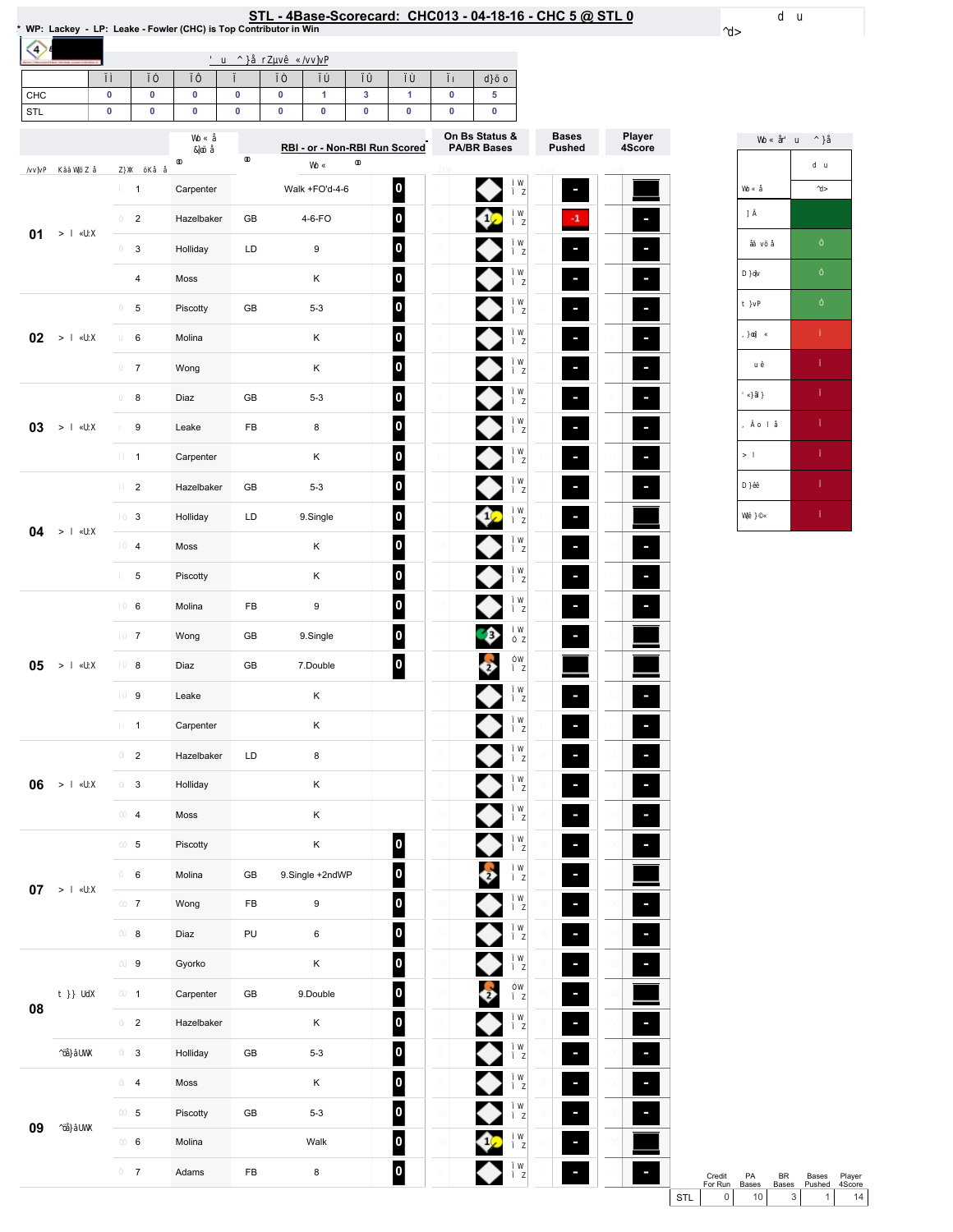| CHC<br>STL | 0<br>0 | 0<br>0                  | 0<br>0     | $\pmb{0}$<br>$\pmb{0}$ | 0<br>0 | 1<br>0                        | 3<br>0 | $\mathbf{1}$<br>0       | 0<br>0 | 5<br>0                               |
|------------|--------|-------------------------|------------|------------------------|--------|-------------------------------|--------|-------------------------|--------|--------------------------------------|
|            |        |                         |            |                        |        | RBI - or - Non-RBI Run Scored |        |                         |        | On Bs Status &<br><b>PA/BR Bases</b> |
|            |        |                         |            |                        |        |                               |        |                         |        |                                      |
|            |        | $\mathbf{1}$            | Carpenter  |                        |        | Walk +FO'd-4-6                |        | 0                       |        | ◆                                    |
| 01         |        | $\overline{\mathbf{c}}$ | Hazelbaker | GB                     |        | 4-6-FO                        |        | $\overline{\mathbf{0}}$ |        | Ø                                    |
|            |        | 3                       | Holliday   | LD                     |        | 9                             |        | $\mathbf{0}$            |        | ●                                    |
|            |        | $\overline{\mathbf{4}}$ | Moss       |                        |        | Κ                             |        | $\overline{\mathbf{0}}$ |        | ♦                                    |
|            |        | 5                       | Piscotty   | GB                     |        | $5 - 3$                       |        | $\boldsymbol{0}$        |        | ♦                                    |
| 02         |        | 6                       | Molina     |                        |        | Κ                             |        | $\boldsymbol{0}$        |        | ♦                                    |
|            |        | $\boldsymbol{7}$        | Wong       |                        |        | Κ                             |        | $\overline{\mathbf{0}}$ |        | ◆                                    |
|            |        | 8                       | Diaz       | GB                     |        | $5 - 3$                       |        | 0                       |        | ◆                                    |
| 03         |        | 9                       | Leake      | FB                     |        | 8                             |        | $\overline{\mathbf{0}}$ |        | ♦                                    |
|            |        | $\mathbf{1}$            | Carpenter  |                        |        | Κ                             |        | $\overline{\mathbf{0}}$ |        | ♦                                    |
|            |        | $\overline{2}$          | Hazelbaker | GB                     |        | $5 - 3$                       |        | $\mathbf{0}$            |        | ♦                                    |
|            |        | 3                       | Holliday   | LD                     |        | 9.Single                      |        | $\overline{\mathbf{0}}$ |        | ¢                                    |
| 04         |        | $\overline{\mathbf{4}}$ | Moss       |                        |        | Κ                             |        | $\boldsymbol{0}$        |        |                                      |
|            |        | 5                       | Piscotty   |                        |        | Κ                             |        | $\overline{\mathbf{0}}$ |        | ♦                                    |
| 05         |        | 6                       | Molina     | FB                     |        | 9                             |        | $\overline{\mathbf{0}}$ |        | ♦                                    |
|            |        | $\overline{7}$          | Wong       | GB                     |        | 9.Single                      |        | 0                       |        | Ð                                    |
|            |        | 8                       | Diaz       | GB                     |        | 7.Double                      |        | 0                       |        | 5                                    |
|            |        | 9                       | Leake      |                        |        | Κ                             |        |                         |        |                                      |
|            |        | $\mathbf{1}$            | Carpenter  |                        |        | Κ                             |        |                         |        | ♦                                    |
|            |        | $\boldsymbol{2}$        | Hazelbaker | LD                     |        | 8                             |        |                         |        |                                      |
| 06         |        | 3                       | Holliday   |                        |        | Κ                             |        |                         |        | ◆                                    |
|            |        | $\overline{\mathbf{4}}$ | Moss       |                        |        | Κ                             |        |                         |        | ◆                                    |
|            |        | 5                       | Piscotty   |                        |        | Κ                             |        | 0                       |        | ◆                                    |
|            |        | 6                       | Molina     | GB                     |        | 9.Single +2ndWP               |        | $\overline{\mathbf{0}}$ |        | $\bullet$                            |
| $07\,$     |        | $\overline{7}$          | Wong       | FB                     |        | 9                             |        | $\overline{\mathbf{0}}$ |        | ♦                                    |
|            |        | 8                       | Diaz       | PU                     |        | 6                             |        | 0                       |        | ♦                                    |
|            |        | 9                       | Gyorko     |                        |        | Κ                             |        | 0                       |        | ♦                                    |
|            |        | $\mathbf{1}$            | Carpenter  | GB                     |        | 9.Double                      |        | 0                       |        | $\bullet$                            |
| 08         |        | $\overline{2}$          | Hazelbaker |                        |        | Κ                             |        | 0                       |        | ♦                                    |
| 09         |        | $\mathsf 3$             | Holliday   | ${\sf GB}$             |        | $5 - 3$                       |        | 0                       |        |                                      |
|            |        | $\overline{\mathbf{4}}$ | Moss       |                        |        | Κ                             |        | 0                       |        |                                      |
|            |        | 5                       | Piscotty   | GB                     |        | $5 - 3$                       |        | 0                       |        | $\blacklozenge$                      |
|            |        | 6                       | Molina     |                        |        | Walk                          |        | 0                       |        | ∞                                    |
|            |        | $\boldsymbol{7}$        | Adams      | FB                     |        | 8                             |        | $\vert$ 0 $\vert$       |        |                                      |



Credit PA BR Bases Player<br>ForRun Bases Bases Pushed 4Score<br>STL 0 10 3 1 14

# STL - 4Base-Scorecard: CHC013 - 04-18-16 - CHC 5 @ STL 0 & "WP: Lackey - LP: Leake - Fowler (CHC) is Top Contributor in Win

 $\Diamond$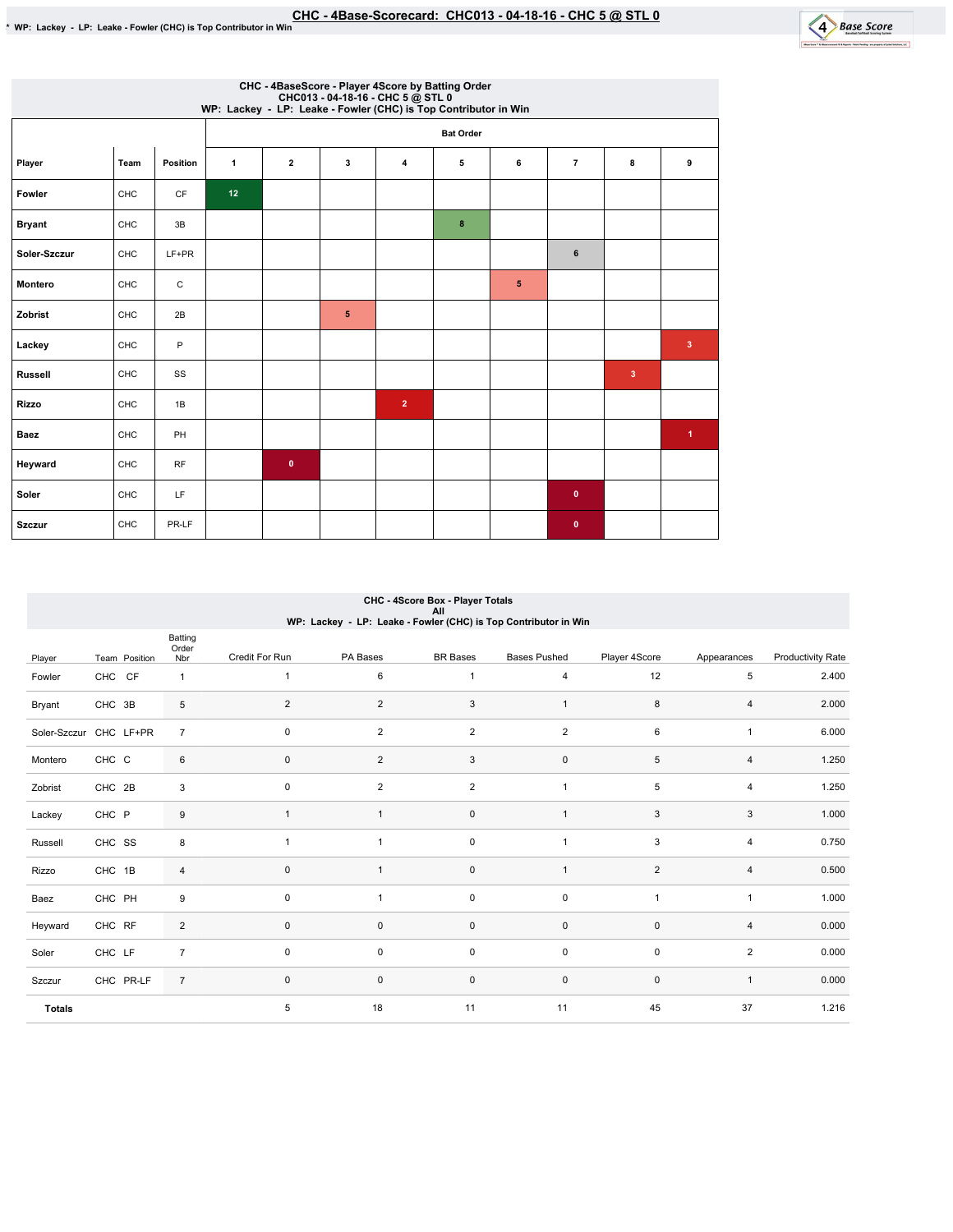

| CHC - 4BaseScore - Player 4Score by Batting Order<br>CHC013 - 04-18-16 - CHC 5 @ STL 0<br>WP: Lackey - LP: Leake - Fowler (CHC) is Top Contributor in Win |      |                        |    |                         |   |                |                  |   |                |   |                      |
|-----------------------------------------------------------------------------------------------------------------------------------------------------------|------|------------------------|----|-------------------------|---|----------------|------------------|---|----------------|---|----------------------|
|                                                                                                                                                           |      |                        |    |                         |   |                | <b>Bat Order</b> |   |                |   |                      |
| Player                                                                                                                                                    | Team | Position               | 1  | $\overline{\mathbf{2}}$ | 3 | 4              | 5                | 6 | $\overline{7}$ | 8 | 9                    |
| Fowler                                                                                                                                                    | CHC  | $\mathsf{C}\mathsf{F}$ | 12 |                         |   |                |                  |   |                |   |                      |
| <b>Bryant</b>                                                                                                                                             | CHC  | 3B                     |    |                         |   |                | 8                |   |                |   |                      |
| Soler-Szczur                                                                                                                                              | CHC  | LF+PR                  |    |                         |   |                |                  |   | 6              |   |                      |
| Montero                                                                                                                                                   | CHC  | С                      |    |                         |   |                |                  | 5 |                |   |                      |
| Zobrist                                                                                                                                                   | CHC  | 2B                     |    |                         | 5 |                |                  |   |                |   |                      |
| Lackey                                                                                                                                                    | CHC  | P                      |    |                         |   |                |                  |   |                |   | $\mathbf{3}$         |
| <b>Russell</b>                                                                                                                                            | CHC  | SS                     |    |                         |   |                |                  |   |                | 3 |                      |
| <b>Rizzo</b>                                                                                                                                              | CHC  | 1B                     |    |                         |   | $\overline{2}$ |                  |   |                |   |                      |
| <b>Baez</b>                                                                                                                                               | CHC  | PH                     |    |                         |   |                |                  |   |                |   | $\blacktriangleleft$ |
| Heyward                                                                                                                                                   | CHC  | RF                     |    | $\mathbf 0$             |   |                |                  |   |                |   |                      |
| Soler                                                                                                                                                     | CHC  | LF                     |    |                         |   |                |                  |   | $\bullet$      |   |                      |
| <b>Szczur</b>                                                                                                                                             | CHC  | PR-LF                  |    |                         |   |                |                  |   | $\bullet$      |   |                      |

## CHC - 4Score Box - Player Totals All WP:Lackey-LP:Leake-Fowler(CHC)isTopContributorinWin

|                        |               | Batting<br>Order |                |                |                 |                     |                |                |                          |
|------------------------|---------------|------------------|----------------|----------------|-----------------|---------------------|----------------|----------------|--------------------------|
| Player                 | Team Position | Nbr              | Credit For Run | PA Bases       | <b>BR</b> Bases | <b>Bases Pushed</b> | Player 4Score  | Appearances    | <b>Productivity Rate</b> |
| Fowler                 | CHC CF        | $\mathbf{1}$     | $\mathbf{1}$   | 6              | $\mathbf{1}$    | $\overline{4}$      | 12             | 5              | 2.400                    |
| Bryant                 | CHC 3B        | 5                | $\overline{c}$ | $\overline{2}$ | 3               | $\mathbf{1}$        | 8              | 4              | 2.000                    |
| Soler-Szczur CHC LF+PR |               | $\overline{7}$   | $\mathbf 0$    | $\overline{2}$ | $\overline{2}$  | $\overline{2}$      | 6              | 1              | 6.000                    |
| Montero                | CHC C         | 6                | $\pmb{0}$      | $\overline{2}$ | 3               | $\mathsf 0$         | 5              | $\overline{4}$ | 1.250                    |
| Zobrist                | CHC 2B        | 3                | $\pmb{0}$      | $\overline{a}$ | $\overline{2}$  | 1                   | 5              | 4              | 1.250                    |
| Lackey                 | CHC P         | 9                | 1              | $\overline{1}$ | $\mathsf 0$     | 1                   | 3              | 3              | 1.000                    |
| Russell                | CHC SS        | 8                | $\mathbf{1}$   | $\mathbf{1}$   | $\mathsf 0$     | $\overline{1}$      | 3              | 4              | 0.750                    |
| Rizzo                  | CHC 1B        | 4                | $\pmb{0}$      | $\mathbf{1}$   | $\pmb{0}$       | $\mathbf{1}$        | $\overline{2}$ | $\overline{4}$ | 0.500                    |
| Baez                   | CHC PH        | 9                | $\mathbf 0$    | 1              | $\mathsf 0$     | $\mathsf 0$         | 1              | 1              | 1.000                    |
| Heyward                | CHC RF        | $\overline{2}$   | $\pmb{0}$      | 0              | $\mathsf 0$     | $\mathbf 0$         | $\mathbf 0$    | 4              | 0.000                    |
| Soler                  | CHC LF        | $\overline{7}$   | $\mathbf 0$    | 0              | $\mathsf 0$     | $\pmb{0}$           | $\mathbf 0$    | $\overline{2}$ | 0.000                    |
| Szczur                 | CHC PR-LF     | $\overline{7}$   | $\mathbf 0$    | $\mathbf 0$    | $\mathsf 0$     | $\pmb{0}$           | $\mathbf 0$    | $\mathbf{1}$   | 0.000                    |
| <b>Totals</b>          |               |                  | 5              | 18             | 11              | 11                  | 45             | 37             | 1.216                    |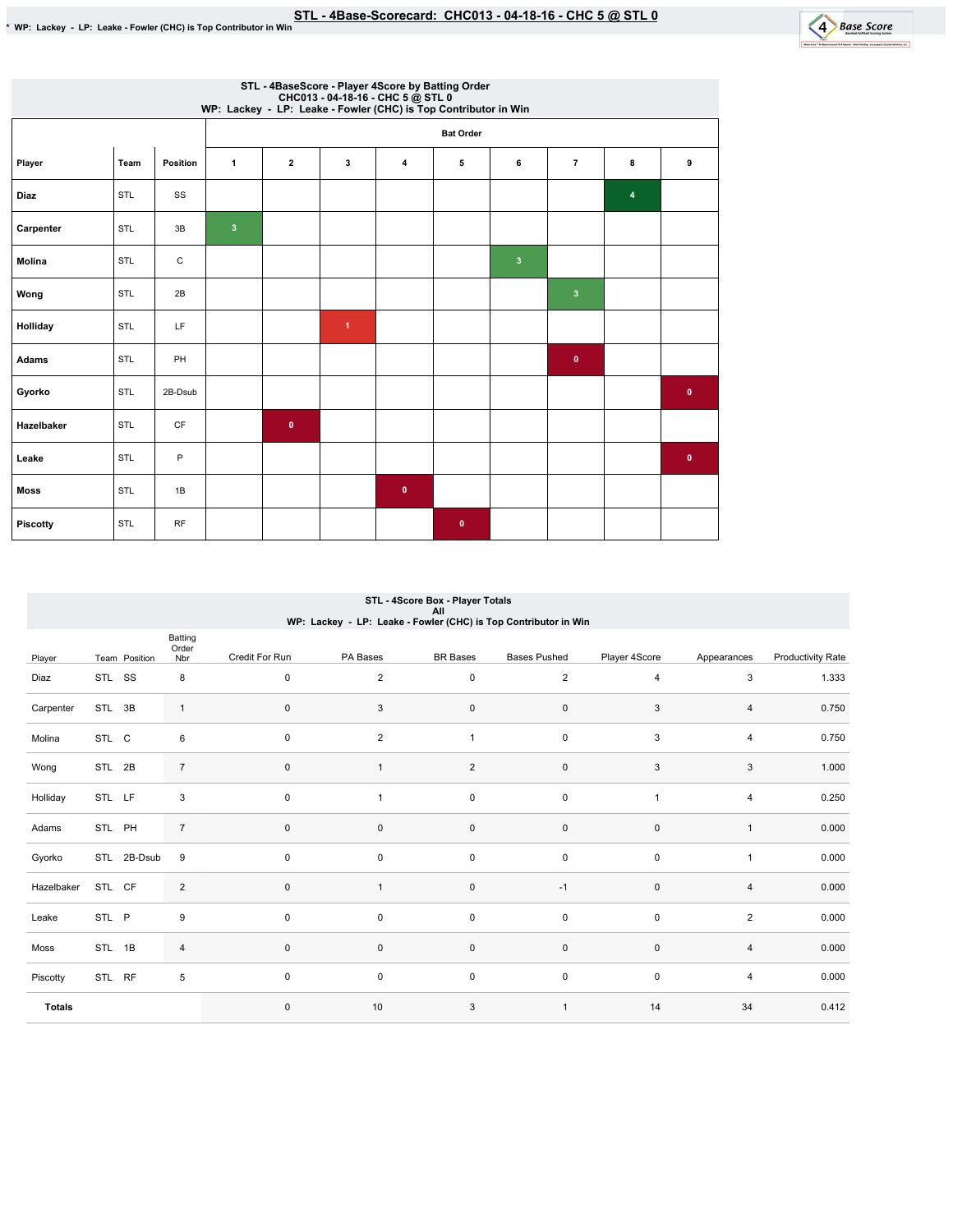

|                 | STL - 4BaseScore - Player 4Score by Batting Order<br>CHC013 - 04-18-16 - CHC 5 @ STL 0<br>WP: Lackey - LP: Leake - Fowler (CHC) is Top Contributor in Win |           |              |              |                      |              |                  |                         |                |   |              |  |
|-----------------|-----------------------------------------------------------------------------------------------------------------------------------------------------------|-----------|--------------|--------------|----------------------|--------------|------------------|-------------------------|----------------|---|--------------|--|
|                 |                                                                                                                                                           |           |              |              |                      |              | <b>Bat Order</b> |                         |                |   |              |  |
| Player          | Team                                                                                                                                                      | Position  | $\mathbf{1}$ | $\mathbf{2}$ | 3                    | $\pmb{4}$    | 5                | 6                       | $\overline{7}$ | 8 | 9            |  |
| <b>Diaz</b>     | STL                                                                                                                                                       | SS        |              |              |                      |              |                  |                         |                | 4 |              |  |
| Carpenter       | STL                                                                                                                                                       | 3B        | $\mathbf{3}$ |              |                      |              |                  |                         |                |   |              |  |
| Molina          | STL                                                                                                                                                       | С         |              |              |                      |              |                  | $\overline{\mathbf{3}}$ |                |   |              |  |
| Wong            | STL                                                                                                                                                       | 2B        |              |              |                      |              |                  |                         | $\mathbf{3}$   |   |              |  |
| Holliday        | STL                                                                                                                                                       | LF.       |              |              | $\blacktriangleleft$ |              |                  |                         |                |   |              |  |
| Adams           | STL                                                                                                                                                       | PH        |              |              |                      |              |                  |                         | $\mathbf{0}$   |   |              |  |
| Gyorko          | STL                                                                                                                                                       | 2B-Dsub   |              |              |                      |              |                  |                         |                |   | $\bullet$    |  |
| Hazelbaker      | <b>STL</b>                                                                                                                                                | CF        |              | $\bullet$    |                      |              |                  |                         |                |   |              |  |
| Leake           | STL                                                                                                                                                       | P         |              |              |                      |              |                  |                         |                |   | $\mathbf{0}$ |  |
| <b>Moss</b>     | STL                                                                                                                                                       | 1B        |              |              |                      | $\mathbf{0}$ |                  |                         |                |   |              |  |
| <b>Piscotty</b> | <b>STL</b>                                                                                                                                                | <b>RF</b> |              |              |                      |              | $\bullet$        |                         |                |   |              |  |

## STL - 4Score Box - Player Totals All WP:Lackey-LP:Leake-Fowler(CHC)isTopContributorinWin

|               |        |               | Batting<br>Order |                |                |                     |                     |                |                |                          |
|---------------|--------|---------------|------------------|----------------|----------------|---------------------|---------------------|----------------|----------------|--------------------------|
| Player        |        | Team Position | Nbr              | Credit For Run | PA Bases       | <b>BR</b> Bases     | <b>Bases Pushed</b> | Player 4Score  | Appearances    | <b>Productivity Rate</b> |
| Diaz          | STL SS |               | 8                | $\mathbf 0$    | $\overline{2}$ | $\mathsf{O}\xspace$ | $\overline{2}$      | $\overline{4}$ | 3              | 1.333                    |
| Carpenter     | STL 3B |               | $\mathbf{1}$     | $\mathbf 0$    | 3              | $\mathsf{O}\xspace$ | $\mathsf{O}\xspace$ | 3              | $\overline{4}$ | 0.750                    |
| Molina        | STL C  |               | 6                | $\mathbf 0$    | $\overline{2}$ | $\mathbf{1}$        | $\mathsf 0$         | $\mathsf 3$    | 4              | 0.750                    |
| Wong          | STL 2B |               | $\overline{7}$   | $\mathbf 0$    |                | $\overline{c}$      | $\mathsf{O}\xspace$ | 3              | 3              | 1.000                    |
| Holliday      | STL LF |               | 3                | $\mathbf 0$    | $\mathbf{1}$   | $\mathsf 0$         | $\mathsf 0$         | $\overline{1}$ | 4              | 0.250                    |
| Adams         | STL PH |               | $\overline{7}$   | $\mathbf 0$    | $\mathbf 0$    | $\mathsf{O}\xspace$ | $\mathsf{O}\xspace$ | $\mathsf 0$    | $\mathbf{1}$   | 0.000                    |
| Gyorko        |        | STL 2B-Dsub   | 9                | 0              | 0              | $\pmb{0}$           | $\mathsf 0$         | $\mathsf 0$    | $\mathbf{1}$   | 0.000                    |
| Hazelbaker    | STL CF |               | $\overline{2}$   | $\mathbf{0}$   |                | $\mathsf{O}\xspace$ | $-1$                | $\pmb{0}$      | $\overline{4}$ | 0.000                    |
| Leake         | STL P  |               | 9                | $\Omega$       | 0              | $\mathsf{O}\xspace$ | $\mathsf 0$         | $\mathsf 0$    | $\overline{2}$ | 0.000                    |
| Moss          | STL 1B |               | $\overline{4}$   | $\mathbf{0}$   | $\mathbf 0$    | 0                   | 0                   | $\mathsf 0$    | $\overline{4}$ | 0.000                    |
| Piscotty      | STL RF |               | 5                | $\pmb{0}$      | 0              | $\mathsf{O}\xspace$ | $\mathsf 0$         | $\mathsf 0$    | 4              | 0.000                    |
| <b>Totals</b> |        |               |                  | $\mathbf{0}$   | 10             | 3                   | $\overline{1}$      | 14             | 34             | 0.412                    |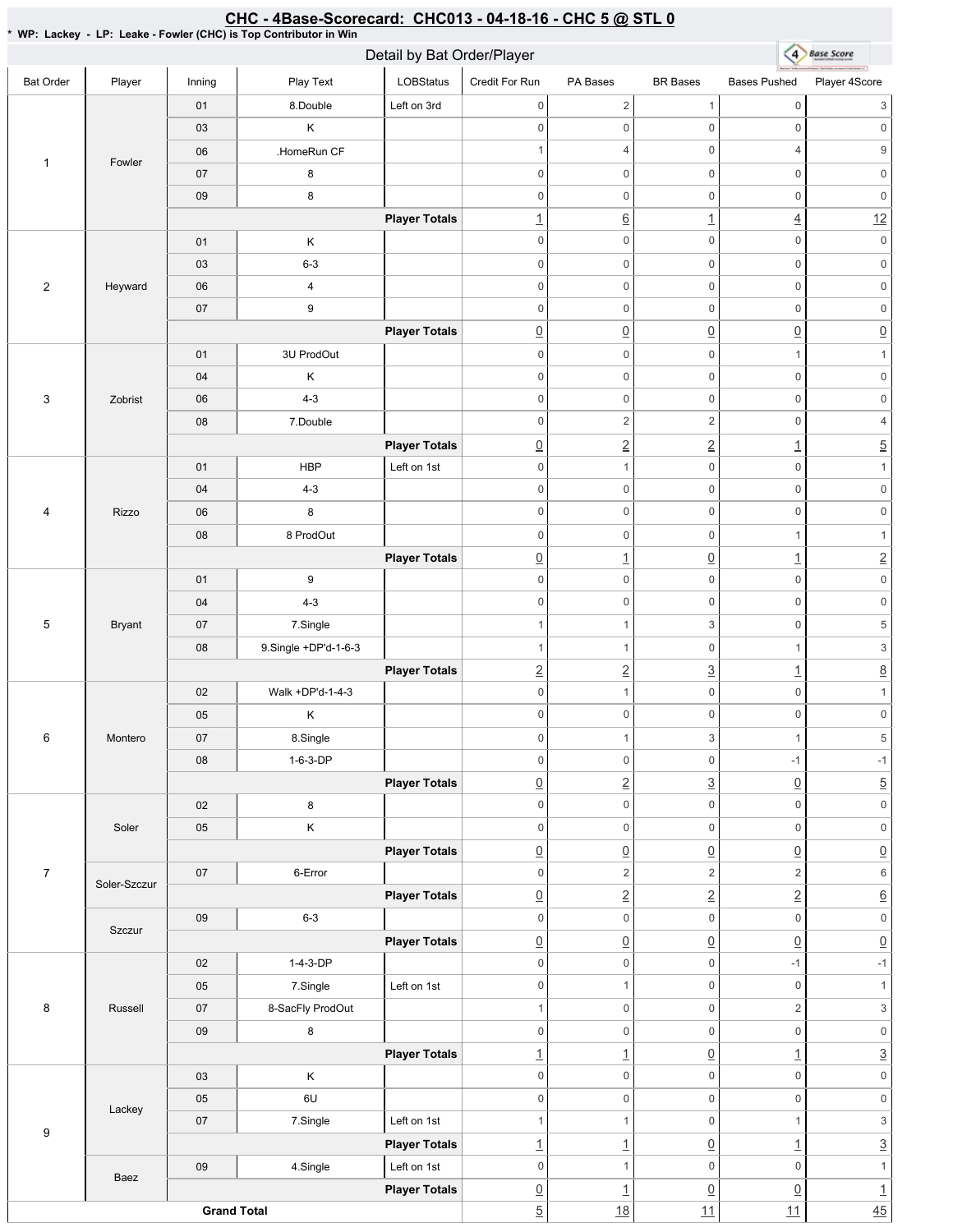#### <u>CHC - 4Base-Scorecard: CHC013 - 04-18-16 - CHC 5 @ STL 0</u>

\* WP: Lackey - LP: Leake - Fowler (CHC) is Top Contributor in Win

|                   |               |                    | Detail by Bat Order/Player   |                      |                                        | 4 Base Score                      |                                        |                                                 |                                       |
|-------------------|---------------|--------------------|------------------------------|----------------------|----------------------------------------|-----------------------------------|----------------------------------------|-------------------------------------------------|---------------------------------------|
| <b>Bat Order</b>  | Player        | Inning             | Play Text                    | LOBStatus            | Credit For Run                         | PA Bases                          | <b>BR</b> Bases                        | <b>Bases Pushed</b>                             | Player 4Score                         |
|                   |               | 01                 | 8.Double                     | Left on 3rd          | $\mathbb O$                            | $\overline{2}$                    | $\mathbf{1}$                           | $\mathsf{O}\xspace$                             | 3                                     |
|                   |               | 03                 | Κ                            |                      | $\mathbf 0$                            | $\mathsf{O}\xspace$               | $\mathsf{O}\xspace$                    | $\mathbf 0$                                     | $\mathbf 0$                           |
|                   |               | 06                 | .HomeRun CF                  |                      | $\mathbf{1}$                           | $\overline{4}$                    | $\mathsf 0$                            | $\overline{4}$                                  | $\boldsymbol{9}$                      |
| $\mathbf{1}$      | Fowler        | 07                 | 8                            |                      | $\mathbf 0$                            | $\mathbf 0$                       | $\mathsf 0$                            | $\mathsf{O}\xspace$                             | $\mathbf 0$                           |
|                   |               | 09                 | 8                            |                      | $\mathbf 0$                            | $\mathsf{O}\xspace$               | $\mathsf 0$                            | $\mathsf{O}\xspace$                             | $\mathsf 0$                           |
|                   |               |                    |                              | <b>Player Totals</b> | $\overline{1}$                         | <u>6</u>                          | $\overline{1}$                         | $\underline{4}$                                 | 12                                    |
|                   |               | 01                 | Κ                            |                      | $\mathbf 0$                            | $\mathsf{O}\xspace$               | $\mathsf 0$                            | $\mathsf 0$                                     | $\mathsf{O}\xspace$                   |
|                   |               | 03                 | $6 - 3$                      |                      | $\mathbf 0$                            | $\mathsf{O}\xspace$               | $\mathsf 0$                            | $\mathsf 0$                                     | $\mathsf 0$                           |
| $\mathbf{2}$      | Heyward       | 06                 | 4                            |                      | $\mathbf 0$                            | $\mathsf{O}\xspace$               | $\mathsf 0$                            | $\mathbf 0$                                     | $\mathbf 0$                           |
|                   |               | 07                 | 9                            |                      | $\mathbf 0$                            | $\mathbf 0$                       | $\mathsf 0$                            | $\mathbf 0$                                     | $\mathbf 0$                           |
|                   |               |                    |                              | <b>Player Totals</b> | $\underline{0}$                        | $\underline{0}$                   | $\underline{0}$                        | $\underline{0}$                                 | $\underline{0}$                       |
|                   |               | 01                 | 3U ProdOut                   |                      | $\mathbf 0$                            | $\mathsf{O}\xspace$               | $\mathsf 0$                            | $\mathbf{1}$                                    | $\mathbf{1}$                          |
|                   |               | 04                 | Κ                            |                      | $\mathbf 0$                            | $\mathsf{O}\xspace$               | $\mathsf 0$                            | $\mathsf{O}\xspace$                             | $\mathbf 0$                           |
| 3                 | Zobrist       | 06                 | $4 - 3$                      |                      | $\mathbf 0$                            | $\mathsf{O}\xspace$               | $\mathsf 0$                            | $\mathsf 0$                                     | $\mathsf 0$                           |
|                   |               | 08                 | 7.Double                     |                      | $\mathbf 0$                            | $\overline{2}$                    | $\sqrt{2}$                             | $\mathsf{O}\xspace$                             | $\sqrt{4}$                            |
|                   |               |                    |                              | <b>Player Totals</b> | $\overline{0}$                         | $\overline{2}$                    | $\underline{2}$                        | $\underline{\mathbf{1}}$                        | $\overline{5}$                        |
|                   |               | 01                 | <b>HBP</b>                   | Left on 1st          | $\boldsymbol{0}$                       | $\mathbf{1}$                      | $\mathsf 0$                            | $\mathsf{O}\xspace$                             | $\mathbf{1}$                          |
|                   |               | 04                 | $4 - 3$                      |                      | $\mathbf 0$                            | $\mathsf{O}\xspace$               | $\mathsf 0$                            | $\mathsf{O}\xspace$                             | $\mathsf{O}\xspace$                   |
| 4<br><b>Rizzo</b> |               | 06                 | 8                            |                      | $\boldsymbol{0}$                       | $\mathsf{O}\xspace$               | $\mathsf 0$                            | $\mathsf{O}\xspace$                             | $\mathbf 0$                           |
|                   |               | 08                 | 8 ProdOut                    |                      | $\mathbf 0$                            | $\mathsf{O}\xspace$               | $\mathsf 0$                            | $\mathbf{1}$                                    | $\mathbf{1}$                          |
|                   |               |                    |                              | <b>Player Totals</b> | $\underline{0}$                        | $\overline{1}$                    | $\underline{0}$                        | $\overline{1}$                                  | $\underline{2}$                       |
|                   |               | 01                 | 9                            |                      | $\boldsymbol{0}$                       | $\mathsf{O}\xspace$               | $\mathsf 0$                            | $\mathsf{O}\xspace$                             | $\mathsf 0$                           |
|                   |               | 04                 | $4 - 3$                      |                      | $\mathbf 0$                            | $\mathsf{O}\xspace$               | 0                                      | $\mathsf 0$                                     | $\mathsf{O}\xspace$                   |
| 5                 | <b>Bryant</b> | 07                 | 7.Single                     |                      | $\overline{1}$                         | $\mathbf{1}$                      | 3                                      | $\mathbb O$                                     | $\,$ 5 $\,$                           |
|                   |               | 08                 | 9.Single +DP'd-1-6-3         |                      | $\overline{1}$                         | $\mathbf{1}$                      | $\mathsf 0$                            | $\mathbf{1}$                                    | $\ensuremath{\mathsf{3}}$             |
|                   |               |                    |                              | <b>Player Totals</b> |                                        |                                   | $\overline{3}$                         |                                                 |                                       |
|                   |               | 02                 | Walk +DP'd-1-4-3             |                      | $\overline{2}$<br>$\mathbf 0$          | $\overline{2}$<br>$\mathbf{1}$    | $\mathsf 0$                            | $\underline{\mathbf{1}}$<br>$\mathsf{O}\xspace$ | $\underline{8}$<br>$\mathbf{1}$       |
|                   |               | 05                 | Κ                            |                      | $\mathbf 0$                            | $\mathbf 0$                       | 0                                      | $\boldsymbol{0}$                                | 0                                     |
| 6                 | Montero       | 07                 | 8.Single                     |                      | $\mathbf 0$                            | $\mathbf{1}$                      | 3                                      | $\mathbf{1}$                                    | $\sqrt{5}$                            |
|                   |               | 08                 | $1-6-3-DP$                   |                      | $\mathbf 0$                            | $\mathsf{O}\xspace$               | $\mathsf{O}\xspace$                    | $-1$                                            | $-1$                                  |
|                   |               |                    |                              | <b>Player Totals</b> |                                        |                                   |                                        |                                                 |                                       |
|                   |               |                    | 8                            |                      | $\underline{0}$<br>$\mathsf{O}\xspace$ | $\overline{2}$<br>$\mathbf 0$     | $\underline{3}$<br>$\mathsf{O}\xspace$ | $\underline{0}$<br>$\mathsf{O}\xspace$          | $\overline{5}$<br>$\mathsf{O}\xspace$ |
|                   |               | 02                 | $\sf K$                      |                      | $\mathbf 0$                            | $\mathbf 0$                       | $\mathsf{O}\xspace$                    | $\mathbf 0$                                     |                                       |
|                   | Soler         | $05\,$             |                              |                      |                                        |                                   |                                        |                                                 | $\mathsf{0}$                          |
| $\overline{7}$    |               | 07                 | 6-Error                      | <b>Player Totals</b> | $\underline{0}$<br>$\mathbf 0$         | $\underline{0}$<br>$\overline{2}$ | $\underline{0}$<br>$\overline{2}$      | $\underline{0}$<br>$\overline{2}$               | $\underline{0}$<br>$\,6\,$            |
|                   | Soler-Szczur  |                    |                              | <b>Player Totals</b> |                                        | $\overline{2}$                    | $\underline{2}$                        | $\underline{2}$                                 | $\underline{6}$                       |
|                   |               | 09                 | $6 - 3$                      |                      | $\underline{0}$<br>$\mathsf 0$         | $\mathsf{O}\xspace$               | 0                                      | $\mathsf{O}\xspace$                             | $\mathsf{O}\xspace$                   |
|                   | Szczur        |                    |                              |                      |                                        |                                   |                                        | $\underline{0}$                                 |                                       |
|                   |               | 02                 | $1-4-3-DP$                   | <b>Player Totals</b> | $\underline{0}$<br>$\mathbf 0$         | $\underline{0}$<br>$\mathbf 0$    | $\underline{0}$<br>$\mathsf 0$         | $-1$                                            | $\underline{0}$<br>$-1$               |
|                   |               |                    |                              |                      | $\mathbf 0$                            | $\mathbf{1}$                      | $\mathsf 0$                            | $\mathsf 0$                                     | $\mathbf{1}$                          |
| 8                 |               | $05\,$             | 7.Single<br>8-SacFly ProdOut | Left on 1st          |                                        | $\mathbf 0$                       | $\mathsf 0$                            | $\overline{2}$                                  |                                       |
|                   | Russell       | 07                 |                              |                      | $\mathbf{1}$                           |                                   |                                        |                                                 | $\ensuremath{\mathsf{3}}$             |
|                   |               | 09                 | 8                            |                      | $\mathbf 0$                            | $\mathsf{O}\xspace$               | $\mathsf{O}\xspace$                    | $\mathsf{O}\xspace$                             | $\mathsf{O}\xspace$                   |
|                   |               |                    |                              | <b>Player Totals</b> | $\overline{1}$                         | $\overline{1}$<br>$\mathsf{O}$    | $\underline{0}$                        | $\underline{\mathbf{1}}$<br>$\mathbf 0$         | $\underline{3}$                       |
|                   |               | 03                 | Κ                            |                      | $\mathsf{O}\xspace$                    |                                   | $\mathsf 0$                            |                                                 | $\mathsf{O}\xspace$                   |
|                   | Lackey        | $05\,$             | 6U                           |                      | $\mathbf 0$                            | $\mathsf{O}$                      | $\mathsf 0$                            | $\mathsf{O}\xspace$                             | $\mathsf{O}\xspace$                   |
| $\boldsymbol{9}$  |               | 07                 | 7.Single                     | Left on 1st          | $\mathbf{1}$                           | $\mathbf{1}$                      | $\mathsf 0$                            | $\mathbf{1}$                                    | $\ensuremath{\mathsf{3}}$             |
|                   |               |                    |                              | <b>Player Totals</b> | $\overline{1}$                         | $\overline{1}$                    | $\underline{0}$                        | $\overline{1}$                                  | $\underline{3}$                       |
|                   | Baez          | 09                 | 4.Single                     | Left on 1st          | $\mathsf 0$                            | $\mathbf{1}$                      | $\mathsf 0$                            | $\mathbf 0$                                     | $\mathbf{1}$                          |
|                   |               |                    |                              | <b>Player Totals</b> | $\underline{0}$                        | $\overline{1}$                    | $\underline{0}$                        | $\underline{0}$                                 | $\underline{\mathbf{1}}$              |
|                   |               | <b>Grand Total</b> |                              |                      | $\overline{5}$                         | 18                                | 11                                     | 11                                              | $\frac{45}{5}$                        |